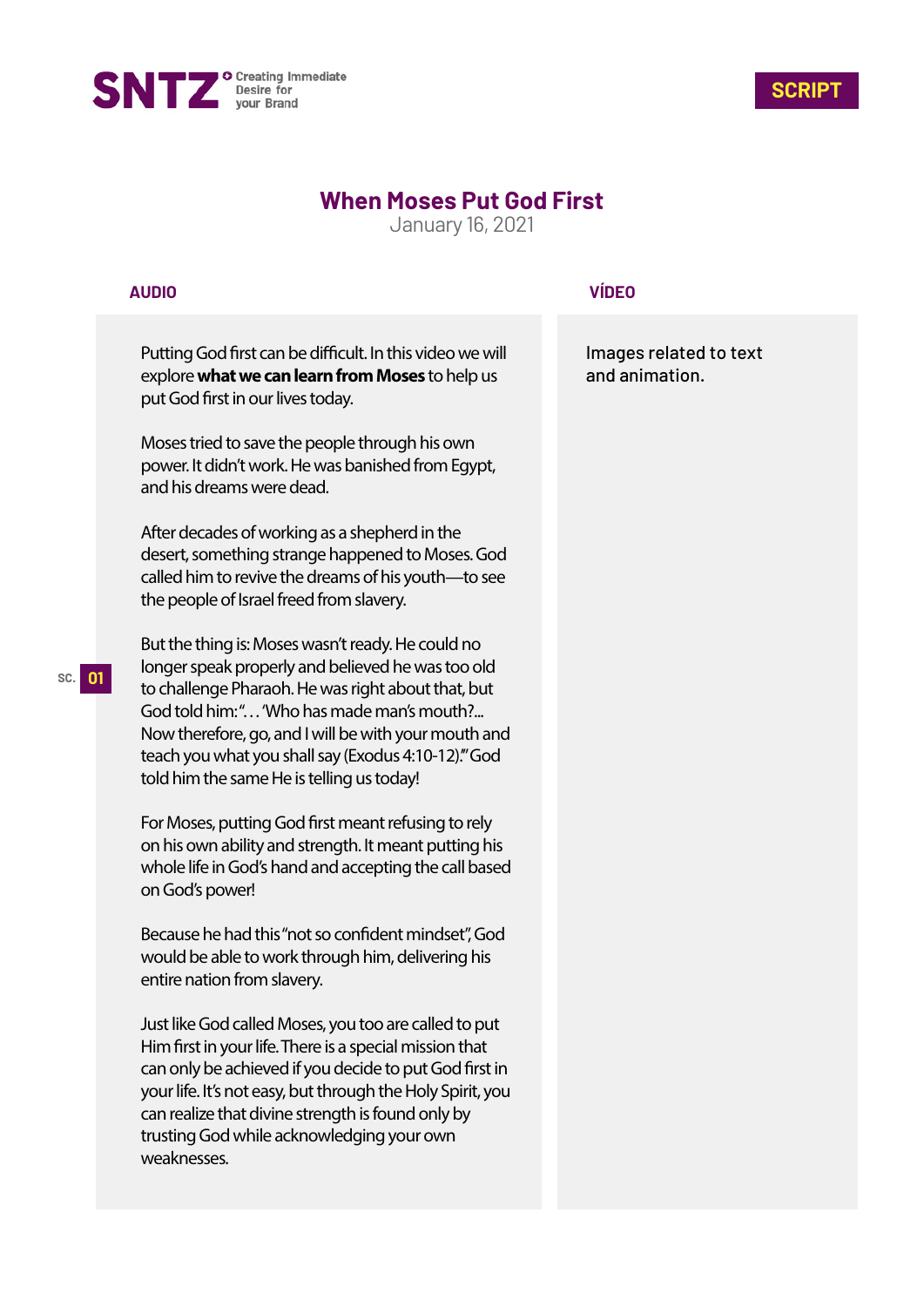



# **When Moses Put God First**

January 16, 2021

#### **AUDIO**

Putting God first can be difficult. In this video we will explore **what we can learn from Moses** to help us put God first in our lives today.

Moses tried to save the people through his own power. It didn't work. He was banished from Egypt, and his dreams were dead.

After decades of working as a shepherd in the desert, something strange happened to Moses. God called him to revive the dreams of his youth—to see the people of Israel freed from slavery.

But the thing is: Moses wasn't ready. He could no longer speak properly and believed he was too old to challenge Pharaoh. He was right about that, but God told him:"... 'Who has made man's mouth?... Now therefore, go, and I will be with your mouth and teach you what you shall say (Exodus 4:10-12).'" God told him the same He is telling us today!

For Moses, putting God first meant refusing to rely on his own ability and strength. It meant putting his whole life in God's hand and accepting the call based on God's power!

Because he had this "not so confident mindset", God would be able to work through him, delivering his entire nation from slavery.

Just like God called Moses, you too are called to put Him first in your life. There is a special mission that can only be achieved if you decide to put God first in your life. It's not easy, but through the Holy Spirit, you can realize that divine strength is found only by trusting God while acknowledging your own weaknesses.

### **VÍDEO**

Images related to text and animation.